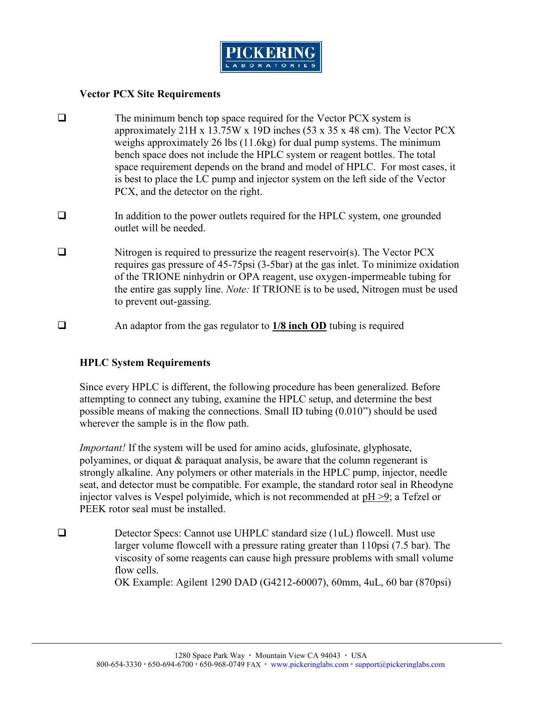$VectP$  $C X$  Site Requirements

- ðq The minimum bench top spakæctMenQ Xinseyds tfeom tilste approxim2attle kty3.7V5 x19D inch5e3x3(5x48 cm) ThVee ctBCX weighs appro 26 obto at ( e 16 kg) for duast to the minimum weighs appro 26 obto 16 kg c for dual pumps bench spaces not include the rHP  $\angle$  central bostal space requirement depends on the brand and model of H is best to place the LC pump and injectoWessyntem on the  $PCX$ , and the detecttor on the righ
- ðq In addition to the power outlets required for the HPLC s outlet will be needed.
- ðq Nitrogen is required to pressurize t**he cneax**gent reservoir( requires gas pre7spssuir-6p13.af)4a5t the gTaesminhiemtize oxidation of the TRIONE ninhydrin or OPA mrpeagneesa, bles et udoxing efformed to the TRIONE ninhydrin or OPA mrpe agneesa, bless the enotainse subcipulely otef: TIRONE is to be blitt insceade to emusted to  $preve-q$  assuit  $q$ .
- ðq An adapotonrtfhre gas re<u>tg/u8latnocr</u>httu**O**bDing is required

HPLC System Requirements

Since every HPLC is different, the following procedure has b attempting to connect antyheu HBPrL $G$  setumpinend determine the b possible means of makting on the Smoand ID justing on the 10 sed wherever the sample is in the flow path.

Importamthe system will be used for amino acids, glufosinate polyamionesliquat & paraquat analysis, be aware that the colu strongly alkaline. Any polymers or other materials in the HPI seat, and detector must be compatible. For example, the star injectolvewsa is Vespel polyimide, which pils post Teedo enlmoernded at PEEK rotor seal must be installed.

ðq Detector Specs: Cannot use UHPLC stM**anstanos s**ize (1uL) larger volume flowcell with a pressure rating greater than viscosity of some reagents can cause high pressure prob flow cells. OK Example: Agilent 12 $9500$   $D047D$ ,  $(654n2$   $m2$  4uL, 60 bar  $(870)$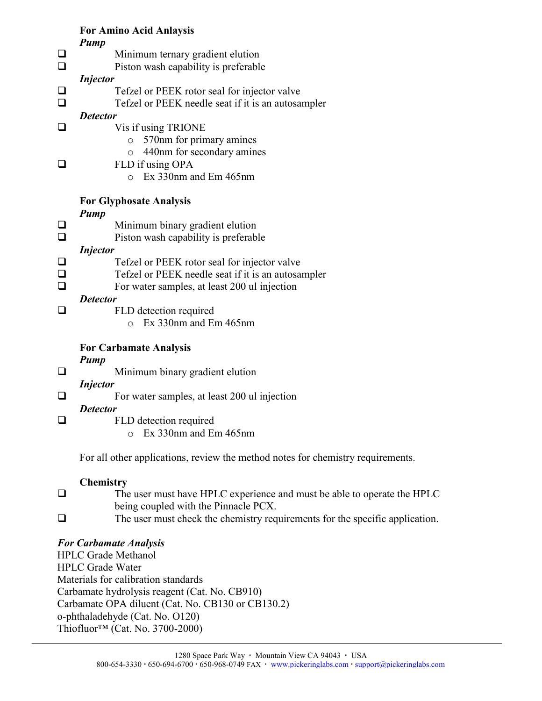For Amino Acid Anlaysis Pump ðq Minimum ternamty egl**uat doi<b>e**. ðq Piston wash capability is preferable Injector ðq Tefzel or PEEK rotor seal for injector valve ðq Tefzel or PEEK needle seat if it is an autosampler Detector ðq Vis if using TRIONE o 570nm for primary amines o 440nm for secondary amines ðq FLD if using OPA  $o$  Ex  $33 m$  and Em  $465 nm$ For Glyphosate Analysis Pump ðq Minimum binary gradient elution ðq Piston wash capability is preferable Injector ðq Tefzel or PEEK rotor seal for injector valve ðq Tefzel or PEEK needle seat if it is an autosampler ðq For water samples, i**an j**el**eta on** 200 ul Detector ðq FLD detection required o Ex 330nm and Em 465nm For Carbamate Analysis Pump ðq Minimum binary gradient elution Injector ðq For water samples, at least 200 ul injection Detector ðq FLD detection required o Ex 330nm and Em 465nm For all otheroam splie atew the method notes for chemistry requirements. Chemistry ðq The user must have HPLC experience and must be able t being coupled with the Pinnacle PCX. ðq The user must check the chemistry requirements for the For Carbamate Analysis HPLC Grade Methanol HPLC Grade Water Materials for calibration standards Carbamate hydrolysis reagent (Cat. No. CB910) Carbamate OPA diluent (Cat. No. CB130 or CB130.2) o-phthaladehyde (Cat. No. O120) Thiofluor!" (Cat.-2NDc0.03700